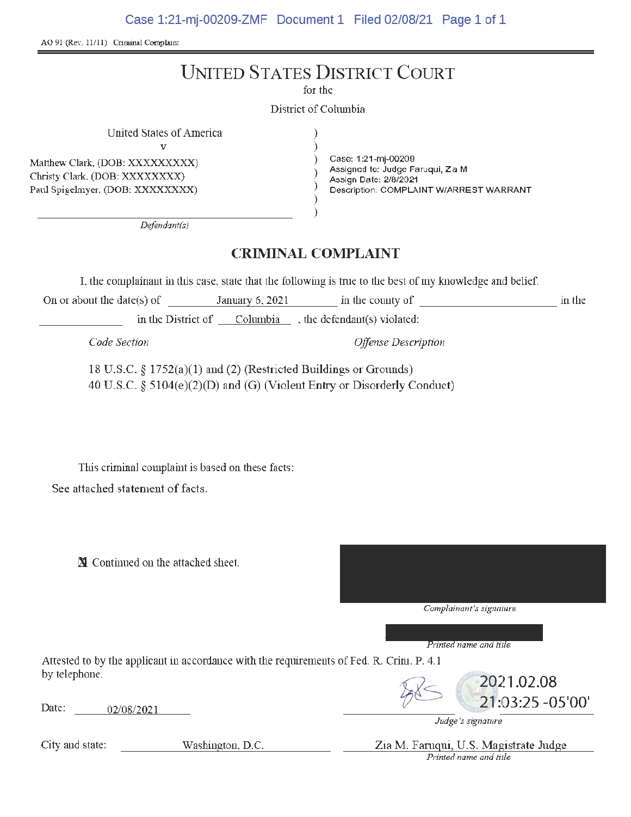Case 1:21-mj-00209-ZMF Document 1 Filed 02/08/21 Page 1 of 1

AO 91 (Rev. 11/11) Criminal Complaint

## UNITED STATES DISTRICT COURT

for the

District of Columbia

United States of America (1999)

**V.** ) Matthew Clark, (DOB: XXXXXXXXX) (DOB: ASSigned to: Judge Faruqui, Za M<br>
Christy Clark, (DOB: XXXXXXXX) (DOB: Assigned to: Judge Faruqui, Za M<br>
Assign Date: 2/8/2021 Christy Clark, (DOB: XXXXXXXX)<br>Paul Spigelmyer, (DOB: XXXXXXXXX)

**Description: COMPLAINT W/ARREST WARRANT** ) )

*Defendant(s)* 

## **CRIMINAL COMPLAINT**

I, the complainant in this case, state that the following is tme to the best of my knowledge and belief.

On or about the date(s) of January 6, 2021 in the county of  $\qquad$  in the in the District of Columbia , the defendant(s) violated:

*Code Section Offense Description* 

18 U.S.C. § 1752(a)(l) and (2) (Restricted Buildings or Grounds) 40 U.S.C. § 5104(e)(2)(D) and (G) (Violent Entry or Disorderly Conduct)

This criminal complaint is based on these facts: See attached statement of facts.

**N** Continued on the attached sheet.

*Complainant's signature*  Printed name and title

Attested to by the applicant in accordance with the requirements of Fed. R. Crim. P. 4.1 by telephone.  $\sqrt{2}$  [2021.02.08](https://2021.02.08)

Date:  $02/08/2021$  21:03:25 -05'00'

*Judge's signature* 

City and state: Washington, D.C. Zia M. Farnqui, U.S. Magistrate Judge *Printed name and title*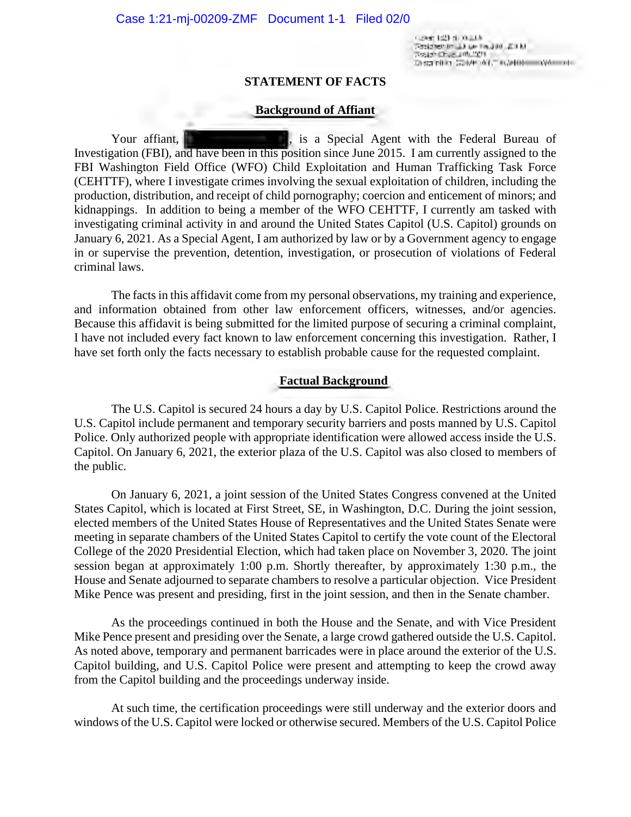Case 1:21-mj-00209-ZMF Document 1-1 Filed 02/0

• 29: 4: 121: 10 11 14 Tosicher In: J.J. Le Fw. 100 . E.X M /.?;1,-. D:.~ :i•t!>::U:! I C,:,i;;i-1:ll:1:1 ;~:}MPJ>.I, i ·.,·;:.HHES1 \\'f>:-.:;J,1\-

#### **STATEMENT OF FACTS**

#### **Background of Affiant**

 investigating criminal activity in and around the United States Capitol (U.S. Capitol) grounds on Your affiant, **The Execution State Agent with the Federal Bureau of** Special Agent with the Federal Bureau of Investigation (FBI), and have been in this position since June 2015. I am currently assigned to the FBI Washington Field Office (WFO) Child Exploitation and Human Trafficking Task Force (CEHTTF), where I investigate crimes involving the sexual exploitation of children, including the production, distribution, and receipt of child pornography; coercion and enticement of minors; and kidnappings. In addition to being a member of the WFO CEHTTF, I currently am tasked with January 6, 2021. As a Special Agent, I am authorized by law or by a Government agency to engage in or supervise the prevention, detention, investigation, or prosecution of violations of Federal criminal laws.

and information obtained from other law enforcement officers, witnesses, and/or agencies. The facts in this affidavit come from my personal observations, my training and experience, Because this affidavit is being submitted for the limited purpose of securing a criminal complaint, I have not included every fact known to law enforcement concerning this investigation. Rather, I have set forth only the facts necessary to establish probable cause for the requested complaint.

#### **Factual Background**

The U.S. Capitol is secured 24 hours a day by U.S. Capitol Police. Restrictions around the U.S. Capitol include permanent and temporary security barriers and posts manned by U.S. Capitol Police. Only authorized people with appropriate identification were allowed access inside the U.S. Capitol. On January 6, 2021, the exterior plaza of the U.S. Capitol was also closed to members of the public.

On January 6, 2021, a joint session of the United States Congress convened at the United States Capitol, which is located at First Street, SE, in Washington, D.C. During the joint session, elected members of the United States House of Representatives and the United States Senate were meeting in separate chambers of the United States Capitol to certify the vote count of the Electoral College of the 2020 Presidential Election, which had taken place on November 3, 2020. The joint session began at approximately 1:00 p.m. Shortly thereafter, by approximately 1:30 p.m., the House and Senate adjourned to separate chambers to resolve a particular objection. Vice President

 Mike Pence was present and presiding, first in the joint session, and then in the Senate chamber. As the proceedings continued in both the House and the Senate, and with Vice President Mike Pence present and presiding over the Senate, a large crowd gathered outside the U.S. Capitol. As noted above, temporary and permanent barricades were in place around the exterior of the U.S. Capitol building, and U.S. Capitol Police were present and attempting to keep the crowd away from the Capitol building and the proceedings underway inside.

 At such time, the certification proceedings were still underway and the exterior doors and windows of the U.S. Capitol were locked or otherwise secured. Members of the U.S. Capitol Police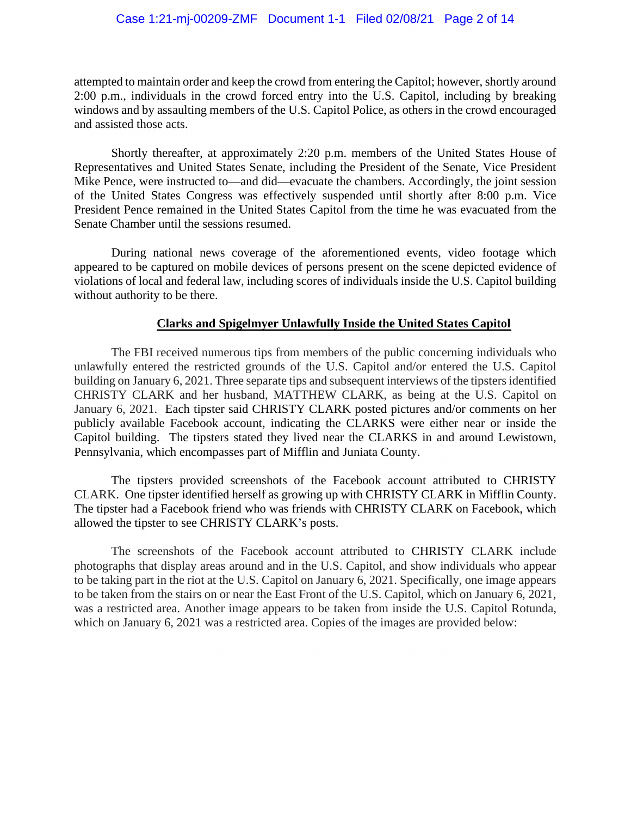attempted to maintain order and keep the crowd from entering the Capitol; however, shortly around 2:00 p.m., individuals in the crowd forced entry into the U.S. Capitol, including by breaking windows and by assaulting members of the U.S. Capitol Police, as others in the crowd encouraged and assisted those acts.

Shortly thereafter, at approximately 2:20 p.m. members of the United States House of Representatives and United States Senate, including the President of the Senate, Vice President Mike Pence, were instructed to—and did—evacuate the chambers. Accordingly, the joint session of the United States Congress was effectively suspended until shortly after 8:00 p.m. Vice President Pence remained in the United States Capitol from the time he was evacuated from the Senate Chamber until the sessions resumed.

During national news coverage of the aforementioned events, video footage which appeared to be captured on mobile devices of persons present on the scene depicted evidence of violations of local and federal law, including scores of individuals inside the U.S. Capitol building without authority to be there.

#### **Clarks and Spigelmyer Unlawfully Inside the United States Capitol**

 building on January 6, 2021. Three separate tips and subsequent interviews of the tipsters identified publicly available Facebook account, indicating the CLARKS were either near or inside the The FBI received numerous tips from members of the public concerning individuals who unlawfully entered the restricted grounds of the U.S. Capitol and/or entered the U.S. Capitol CHRISTY CLARK and her husband, MATTHEW CLARK, as being at the U.S. Capitol on January 6, 2021. Each tipster said CHRISTY CLARK posted pictures and/or comments on her Capitol building. The tipsters stated they lived near the CLARKS in and around Lewistown, Pennsylvania, which encompasses part of Mifflin and Juniata County.

CLARK. One tipster identified herself as growing up with CHRISTY CLARK in Mifflin County. allowed the tipster to see CHRISTY CLARK's posts. The tipsters provided screenshots of the Facebook account attributed to CHRISTY The tipster had a Facebook friend who was friends with CHRISTY CLARK on Facebook, which

 allowed the tipster to see CHRISTY CLARK's posts. The screenshots of the Facebook account attributed to CHRISTY CLARK include was a restricted area. Another image appears to be taken from inside the U.S. Capitol Rotunda, which on January 6, 2021 was a restricted area. Copies of the images are provided below: photographs that display areas around and in the U.S. Capitol, and show individuals who appear to be taking part in the riot at the U.S. Capitol on January 6, 2021. Specifically, one image appears to be taken from the stairs on or near the East Front of the U.S. Capitol, which on January 6, 2021,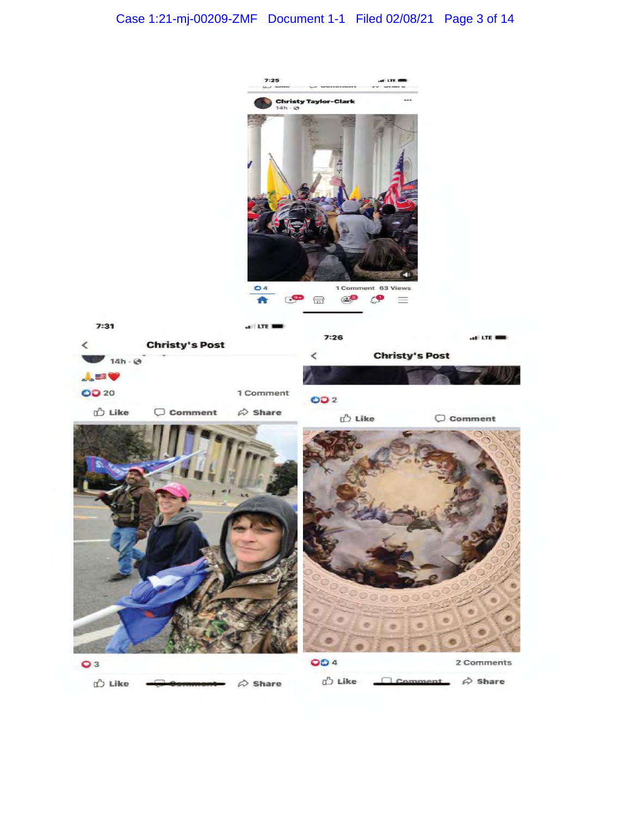## Case 1:21-mj-00209-ZMF Document 1-1 Filed 02/08/21 Page 3 of 14

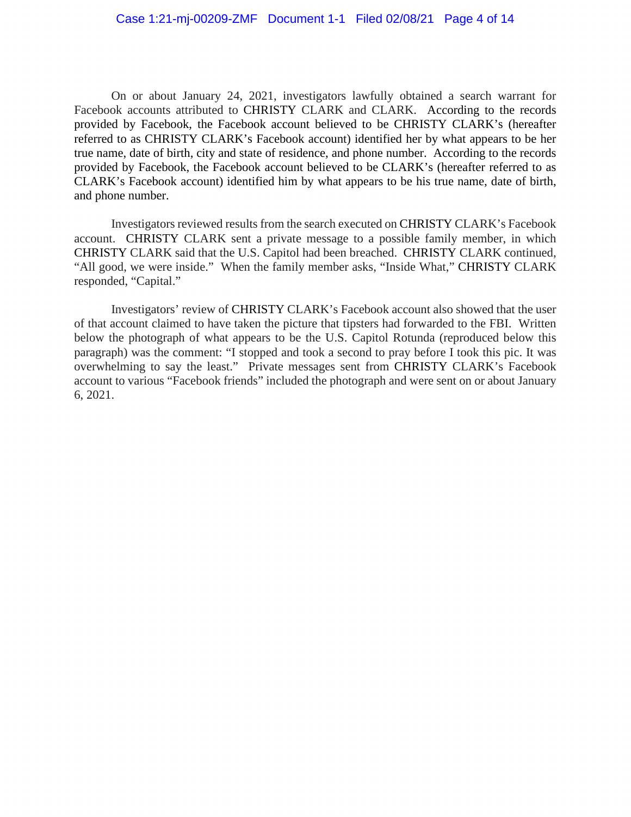Facebook accounts attributed to CHRISTY CLARK and CLARK. According to the records provided by Facebook, the Facebook account believed to be CHRISTY CLARK's (hereafter referred to as CHRISTY CLARK's Facebook account) identified her by what appears to be her On or about January 24, 2021, investigators lawfully obtained a search warrant for true name, date of birth, city and state of residence, and phone number. According to the records provided by Facebook, the Facebook account believed to be CLARK's (hereafter referred to as CLARK's Facebook account) identified him by what appears to be his true name, date of birth, and phone number.

 CHRISTY CLARK said that the U.S. Capitol had been breached. CHRISTY CLARK continued, "All good, we were inside." When the family member asks, "Inside What," CHRISTY CLARK responded, "Capital." Investigators reviewed results from the search executed on CHRISTY CLARK's Facebook account. CHRISTY CLARK sent a private message to a possible family member, in which

 overwhelming to say the least." Private messages sent from CHRISTY CLARK's Facebook account to various "Facebook friends" included the photograph and were sent on or about January Investigators' review of CHRISTY CLARK's Facebook account also showed that the user of that account claimed to have taken the picture that tipsters had forwarded to the FBI. Written below the photograph of what appears to be the U.S. Capitol Rotunda (reproduced below this paragraph) was the comment: "I stopped and took a second to pray before I took this pic. It was 6, 2021.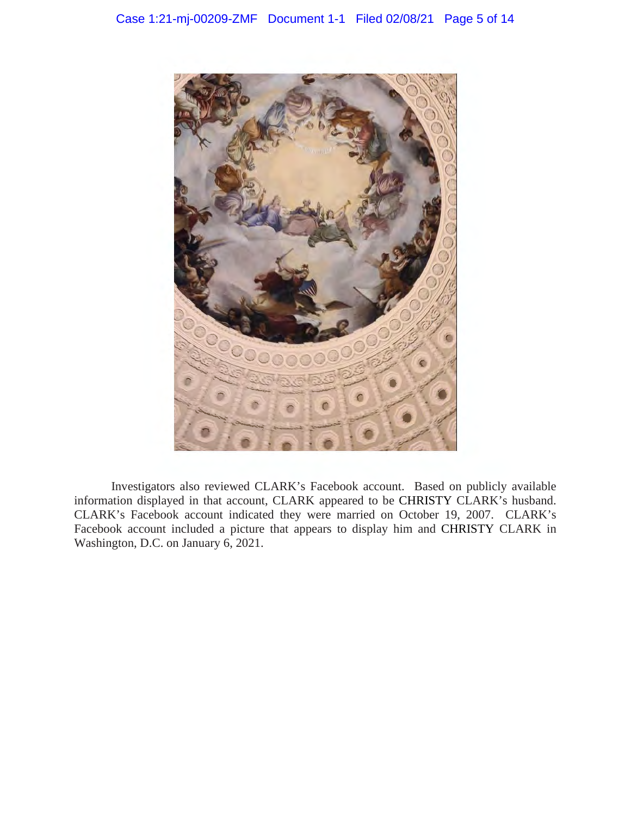

Investigators also reviewed CLARK's Facebook account. Based on publicly available information displayed in that account, CLARK appeared to be CHRISTY CLARK's husband. CLARK's Facebook account indicated they were married on October 19, 2007. CLARK's Facebook account included a picture that appears to display him and CHRISTY CLARK in Washington, D.C. on January 6, 2021.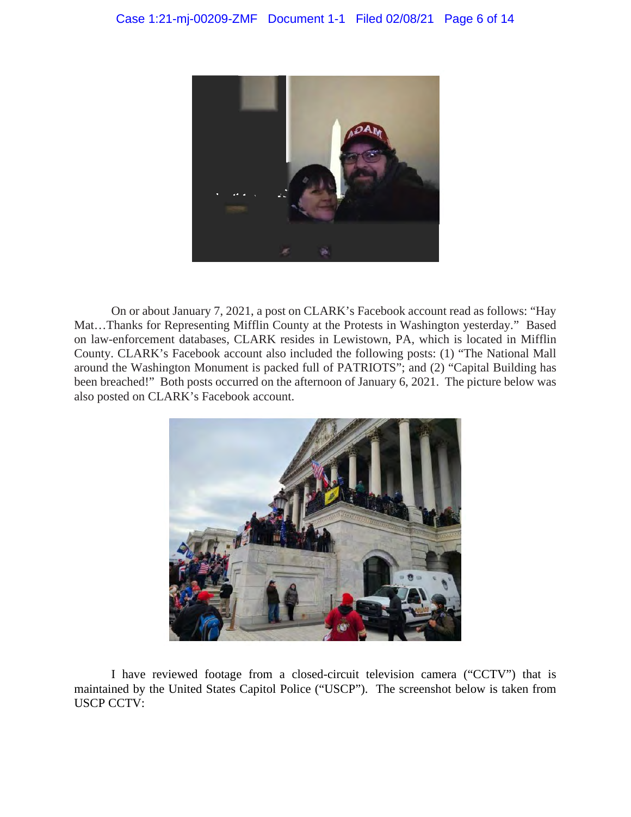

 Mat…Thanks for Representing Mifflin County at the Protests in Washington yesterday." Based been breached!" Both posts occurred on the afternoon of January 6, 2021. The picture below was On or about January 7, 2021, a post on CLARK's Facebook account read as follows: "Hay on law-enforcement databases, CLARK resides in Lewistown, PA, which is located in Mifflin County. CLARK's Facebook account also included the following posts: (1) "The National Mall around the Washington Monument is packed full of PATRIOTS"; and (2) "Capital Building has also posted on CLARK's Facebook account.



I have reviewed footage from a closed-circuit television camera ("CCTV") that is maintained by the United States Capitol Police ("USCP"). The screenshot below is taken from USCP CCTV: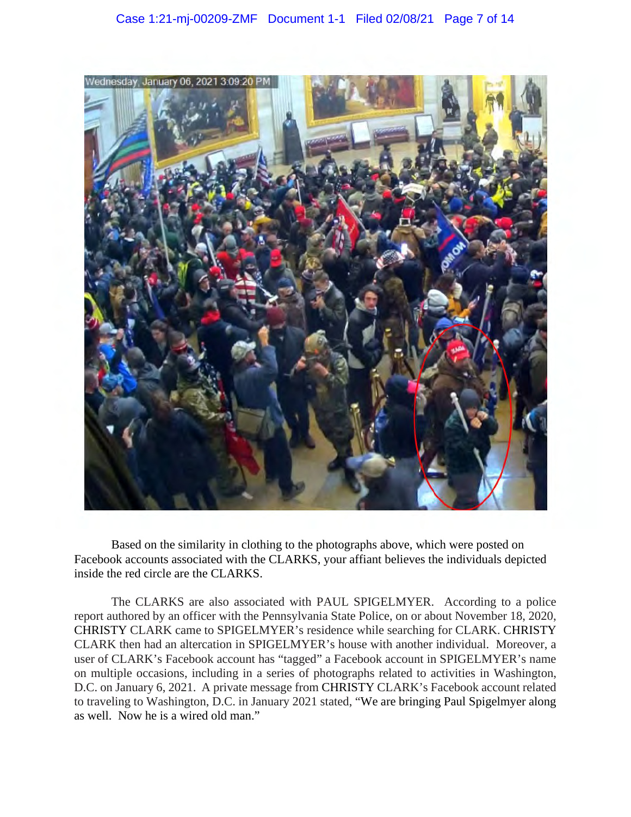

Based on the similarity in clothing to the photographs above, which were posted on Facebook accounts associated with the CLARKS, your affiant believes the individuals depicted inside the red circle are the CLARKS.

 report authored by an officer with the Pennsylvania State Police, on or about November 18, 2020, D.C. on January 6, 2021. A private message from CHRISTY CLARK's Facebook account related to traveling to Washington, D.C. in January 2021 stated, "We are bringing Paul Spigelmyer along as well. Now he is a wired old man." The CLARKS are also associated with PAUL SPIGELMYER. According to a police CHRISTY CLARK came to SPIGELMYER's residence while searching for CLARK. CHRISTY CLARK then had an altercation in SPIGELMYER's house with another individual. Moreover, a user of CLARK's Facebook account has "tagged" a Facebook account in SPIGELMYER's name on multiple occasions, including in a series of photographs related to activities in Washington,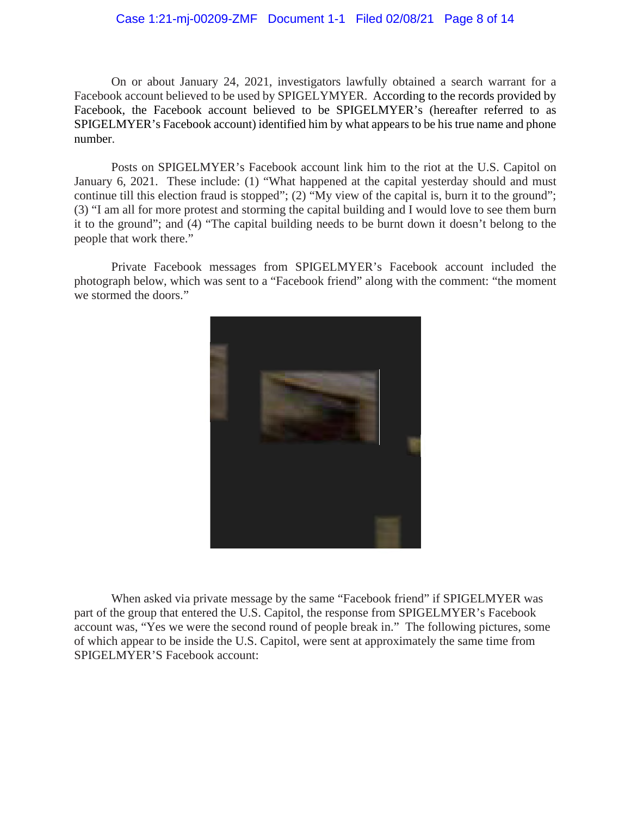#### Case 1:21-mj-00209-ZMF Document 1-1 Filed 02/08/21 Page 8 of 14

 On or about January 24, 2021, investigators lawfully obtained a search warrant for a SPIGELMYER's Facebook account) identified him by what appears to be his true name and phone Facebook account believed to be used by SPIGELYMYER. According to the records provided by Facebook, the Facebook account believed to be SPIGELMYER's (hereafter referred to as number.

 continue till this election fraud is stopped"; (2) "My view of the capital is, burn it to the ground"; people that work there." Posts on SPIGELMYER's Facebook account link him to the riot at the U.S. Capitol on January 6, 2021. These include: (1) "What happened at the capital yesterday should and must (3) "I am all for more protest and storming the capital building and I would love to see them burn it to the ground"; and (4) "The capital building needs to be burnt down it doesn't belong to the

Private Facebook messages from SPIGELMYER's Facebook account included the photograph below, which was sent to a "Facebook friend" along with the comment: "the moment we stormed the doors."



 part of the group that entered the U.S. Capitol, the response from SPIGELMYER's Facebook of which appear to be inside the U.S. Capitol, were sent at approximately the same time from SPIGELMYER'S Facebook account: When asked via private message by the same "Facebook friend" if SPIGELMYER was account was, "Yes we were the second round of people break in." The following pictures, some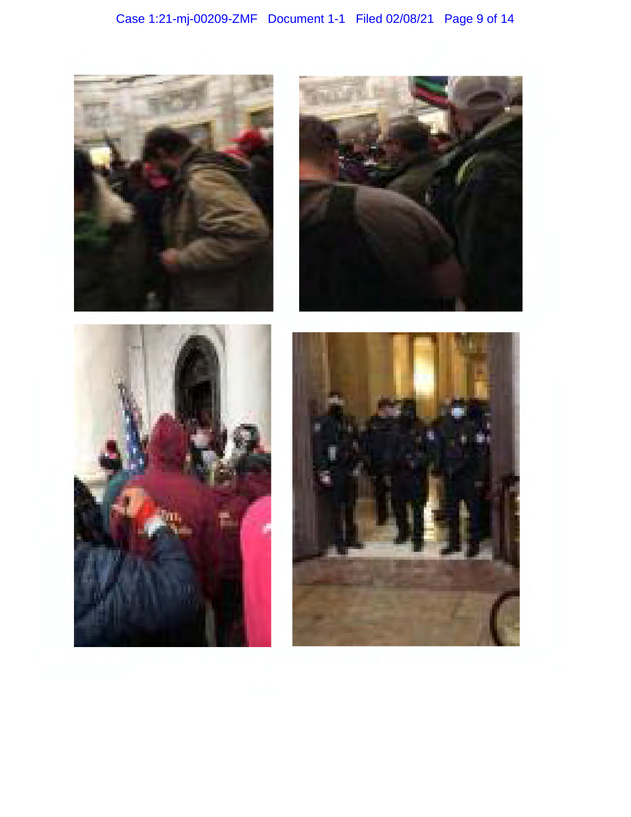# Case 1:21-mj-00209-ZMF Document 1-1 Filed 02/08/21 Page 9 of 14







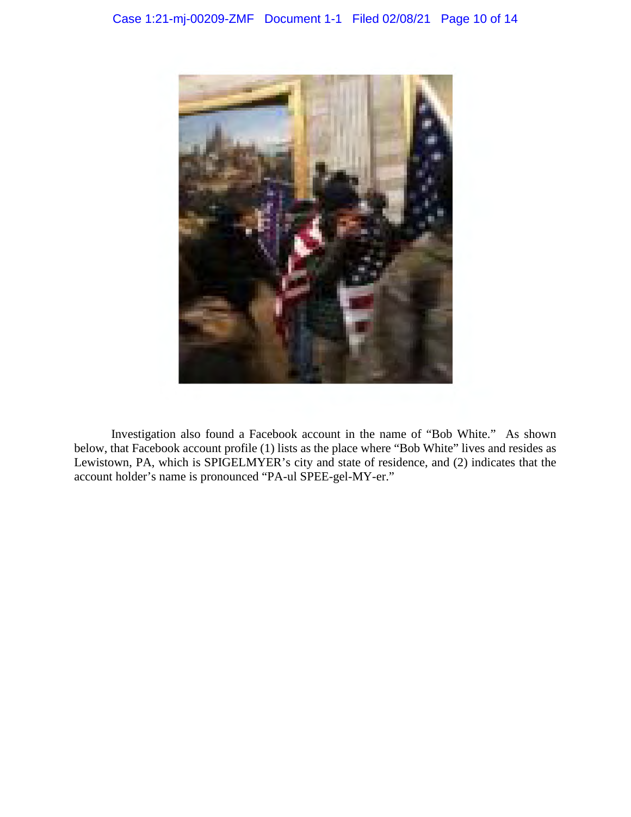

Investigation also found a Facebook account in the name of "Bob White." As shown below, that Facebook account profile (1) lists as the place where "Bob White" lives and resides as Lewistown, PA, which is SPIGELMYER's city and state of residence, and (2) indicates that the account holder's name is pronounced "PA-ul SPEE-gel-MY-er."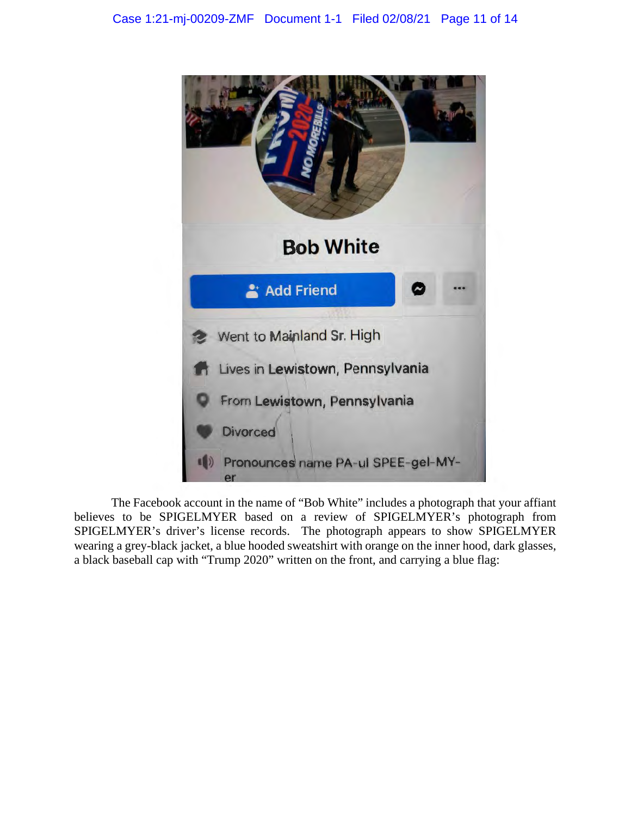

The Facebook account in the name of "Bob White" includes a photograph that your affiant believes to be SPIGELMYER based on a review of SPIGELMYER's photograph from SPIGELMYER's driver's license records. The photograph appears to show SPIGELMYER wearing a grey-black jacket, a blue hooded sweatshirt with orange on the inner hood, dark glasses, a black baseball cap with "Trump 2020" written on the front, and carrying a blue flag: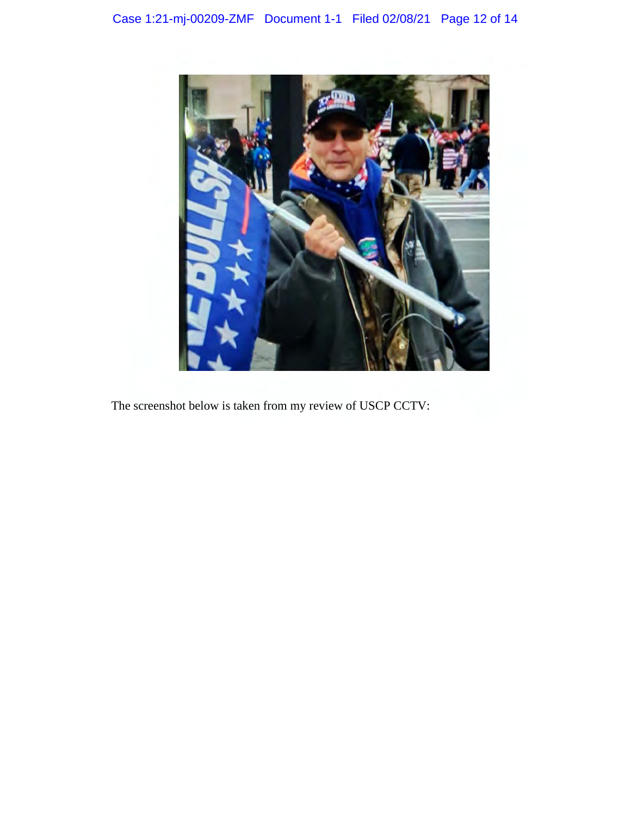

The screenshot below is taken from my review of USCP CCTV: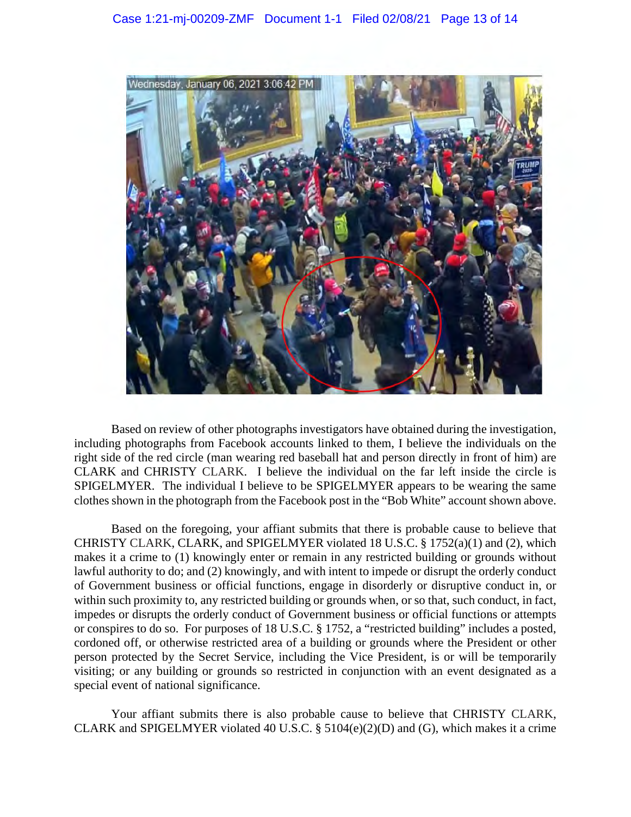

 Based on review of other photographs investigators have obtained during the investigation, CLARK and CHRISTY CLARK. I believe the individual on the far left inside the circle is including photographs from Facebook accounts linked to them, I believe the individuals on the right side of the red circle (man wearing red baseball hat and person directly in front of him) are SPIGELMYER. The individual I believe to be SPIGELMYER appears to be wearing the same clothes shown in the photograph from the Facebook post in the "Bob White" account shown above.

 or conspires to do so. For purposes of 18 U.S.C. § 1752, a "restricted building" includes a posted, cordoned off, or otherwise restricted area of a building or grounds where the President or other Based on the foregoing, your affiant submits that there is probable cause to believe that CHRISTY CLARK, CLARK, and SPIGELMYER violated 18 U.S.C. § 1752(a)(1) and (2), which makes it a crime to (1) knowingly enter or remain in any restricted building or grounds without lawful authority to do; and (2) knowingly, and with intent to impede or disrupt the orderly conduct of Government business or official functions, engage in disorderly or disruptive conduct in, or within such proximity to, any restricted building or grounds when, or so that, such conduct, in fact, impedes or disrupts the orderly conduct of Government business or official functions or attempts person protected by the Secret Service, including the Vice President, is or will be temporarily visiting; or any building or grounds so restricted in conjunction with an event designated as a special event of national significance.

Your affiant submits there is also probable cause to believe that CHRISTY CLARK, CLARK and SPIGELMYER violated 40 U.S.C. § 5104(e)(2)(D) and (G), which makes it a crime